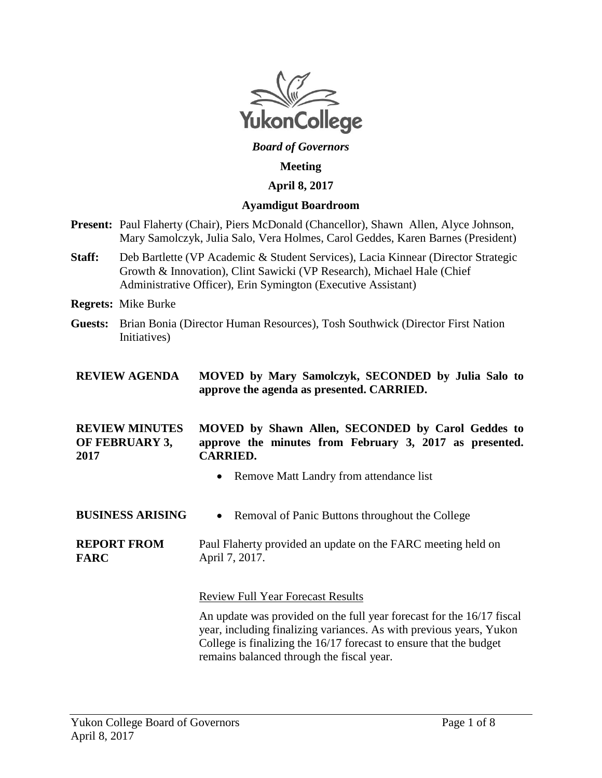

### *Board of Governors*

#### **Meeting**

#### **April 8, 2017**

#### **Ayamdigut Boardroom**

- **Present:** Paul Flaherty (Chair), Piers McDonald (Chancellor), Shawn Allen, Alyce Johnson, Mary Samolczyk, Julia Salo, Vera Holmes, Carol Geddes, Karen Barnes (President)
- **Staff:** Deb Bartlette (VP Academic & Student Services), Lacia Kinnear (Director Strategic Growth & Innovation), Clint Sawicki (VP Research), Michael Hale (Chief Administrative Officer), Erin Symington (Executive Assistant)
- **Regrets:** Mike Burke
- **Guests:** Brian Bonia (Director Human Resources), Tosh Southwick (Director First Nation Initiatives)

### **REVIEW AGENDA MOVED by Mary Samolczyk, SECONDED by Julia Salo to approve the agenda as presented. CARRIED.**

#### **REVIEW MINUTES OF FEBRUARY 3, 2017 MOVED by Shawn Allen, SECONDED by Carol Geddes to approve the minutes from February 3, 2017 as presented. CARRIED.**

- Remove Matt Landry from attendance list
- **BUSINESS ARISING** Removal of Panic Buttons throughout the College
- **REPORT FROM FARC** Paul Flaherty provided an update on the FARC meeting held on April 7, 2017.

Review Full Year Forecast Results

An update was provided on the full year forecast for the 16/17 fiscal year, including finalizing variances. As with previous years, Yukon College is finalizing the 16/17 forecast to ensure that the budget remains balanced through the fiscal year.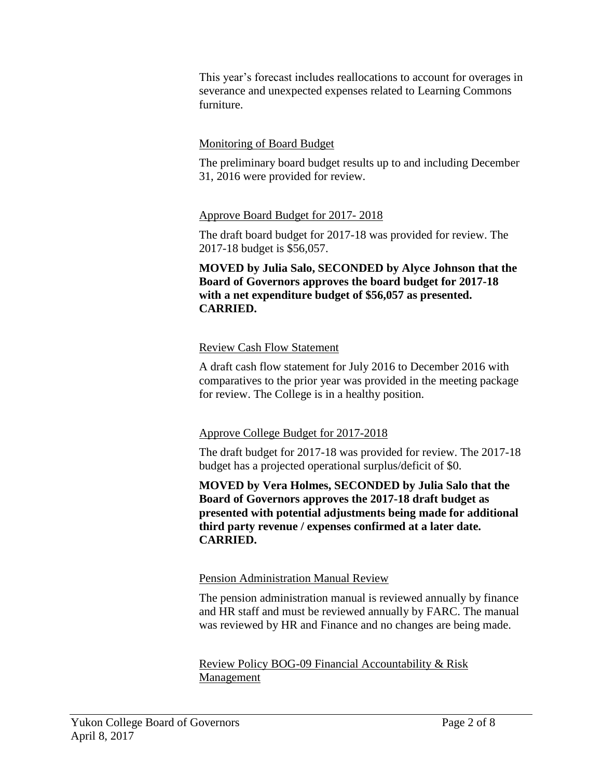This year's forecast includes reallocations to account for overages in severance and unexpected expenses related to Learning Commons furniture.

# Monitoring of Board Budget

The preliminary board budget results up to and including December 31, 2016 were provided for review.

## Approve Board Budget for 2017- 2018

The draft board budget for 2017-18 was provided for review. The 2017-18 budget is \$56,057.

**MOVED by Julia Salo, SECONDED by Alyce Johnson that the Board of Governors approves the board budget for 2017-18 with a net expenditure budget of \$56,057 as presented. CARRIED.**

## Review Cash Flow Statement

A draft cash flow statement for July 2016 to December 2016 with comparatives to the prior year was provided in the meeting package for review. The College is in a healthy position.

## Approve College Budget for 2017-2018

The draft budget for 2017-18 was provided for review. The 2017-18 budget has a projected operational surplus/deficit of \$0.

**MOVED by Vera Holmes, SECONDED by Julia Salo that the Board of Governors approves the 2017-18 draft budget as presented with potential adjustments being made for additional third party revenue / expenses confirmed at a later date. CARRIED.**

## Pension Administration Manual Review

The pension administration manual is reviewed annually by finance and HR staff and must be reviewed annually by FARC. The manual was reviewed by HR and Finance and no changes are being made.

Review Policy BOG-09 Financial Accountability & Risk Management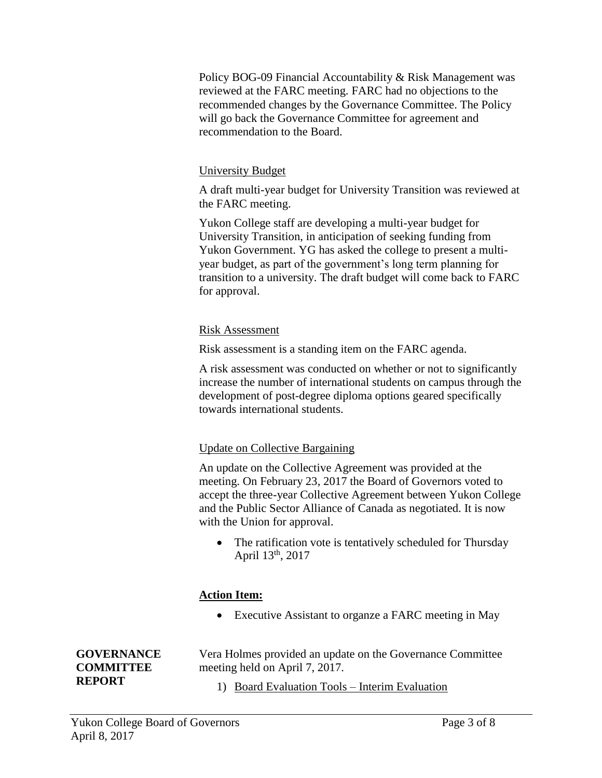Policy BOG-09 Financial Accountability & Risk Management was reviewed at the FARC meeting. FARC had no objections to the recommended changes by the Governance Committee. The Policy will go back the Governance Committee for agreement and recommendation to the Board.

## University Budget

A draft multi-year budget for University Transition was reviewed at the FARC meeting.

Yukon College staff are developing a multi-year budget for University Transition, in anticipation of seeking funding from Yukon Government. YG has asked the college to present a multiyear budget, as part of the government's long term planning for transition to a university. The draft budget will come back to FARC for approval.

## Risk Assessment

Risk assessment is a standing item on the FARC agenda.

A risk assessment was conducted on whether or not to significantly increase the number of international students on campus through the development of post-degree diploma options geared specifically towards international students.

## Update on Collective Bargaining

An update on the Collective Agreement was provided at the meeting. On February 23, 2017 the Board of Governors voted to accept the three-year Collective Agreement between Yukon College and the Public Sector Alliance of Canada as negotiated. It is now with the Union for approval.

• The ratification vote is tentatively scheduled for Thursday April 13th, 2017

## **Action Item:**

Executive Assistant to organze a FARC meeting in May

Vera Holmes provided an update on the Governance Committee meeting held on April 7, 2017.

1) Board Evaluation Tools – Interim Evaluation

**GOVERNANCE COMMITTEE REPORT**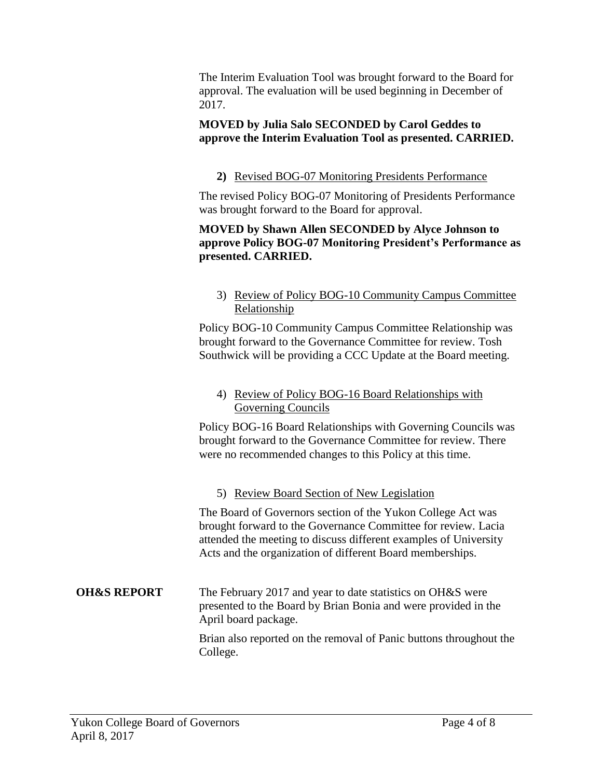The Interim Evaluation Tool was brought forward to the Board for approval. The evaluation will be used beginning in December of 2017.

# **MOVED by Julia Salo SECONDED by Carol Geddes to approve the Interim Evaluation Tool as presented. CARRIED.**

# **2)** Revised BOG-07 Monitoring Presidents Performance

The revised Policy BOG-07 Monitoring of Presidents Performance was brought forward to the Board for approval.

## **MOVED by Shawn Allen SECONDED by Alyce Johnson to approve Policy BOG-07 Monitoring President's Performance as presented. CARRIED.**

## 3) Review of Policy BOG-10 Community Campus Committee Relationship

Policy BOG-10 Community Campus Committee Relationship was brought forward to the Governance Committee for review. Tosh Southwick will be providing a CCC Update at the Board meeting.

## 4) Review of Policy BOG-16 Board Relationships with Governing Councils

Policy BOG-16 Board Relationships with Governing Councils was brought forward to the Governance Committee for review. There were no recommended changes to this Policy at this time.

# 5) Review Board Section of New Legislation

The Board of Governors section of the Yukon College Act was brought forward to the Governance Committee for review. Lacia attended the meeting to discuss different examples of University Acts and the organization of different Board memberships.

## **OH&S REPORT** The February 2017 and year to date statistics on OH&S were presented to the Board by Brian Bonia and were provided in the April board package.

Brian also reported on the removal of Panic buttons throughout the College.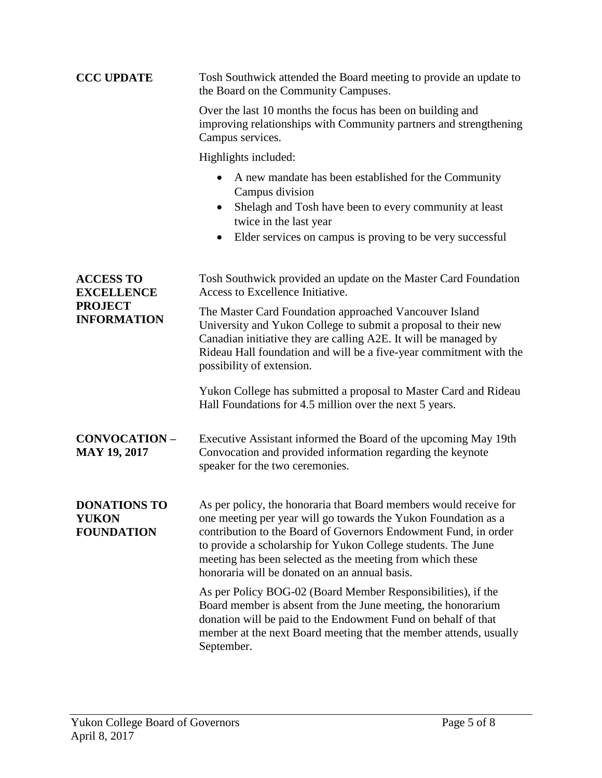| <b>CCC UPDATE</b>                                                             | Tosh Southwick attended the Board meeting to provide an update to<br>the Board on the Community Campuses.                                                                                                                                                                                                                                                                             |
|-------------------------------------------------------------------------------|---------------------------------------------------------------------------------------------------------------------------------------------------------------------------------------------------------------------------------------------------------------------------------------------------------------------------------------------------------------------------------------|
|                                                                               | Over the last 10 months the focus has been on building and<br>improving relationships with Community partners and strengthening<br>Campus services.                                                                                                                                                                                                                                   |
|                                                                               | Highlights included:                                                                                                                                                                                                                                                                                                                                                                  |
|                                                                               | A new mandate has been established for the Community<br>Campus division<br>Shelagh and Tosh have been to every community at least<br>$\bullet$<br>twice in the last year<br>Elder services on campus is proving to be very successful<br>$\bullet$                                                                                                                                    |
| <b>ACCESS TO</b><br><b>EXCELLENCE</b><br><b>PROJECT</b><br><b>INFORMATION</b> | Tosh Southwick provided an update on the Master Card Foundation<br>Access to Excellence Initiative.                                                                                                                                                                                                                                                                                   |
|                                                                               | The Master Card Foundation approached Vancouver Island<br>University and Yukon College to submit a proposal to their new<br>Canadian initiative they are calling A2E. It will be managed by<br>Rideau Hall foundation and will be a five-year commitment with the<br>possibility of extension.                                                                                        |
|                                                                               | Yukon College has submitted a proposal to Master Card and Rideau<br>Hall Foundations for 4.5 million over the next 5 years.                                                                                                                                                                                                                                                           |
| <b>CONVOCATION-</b><br><b>MAY 19, 2017</b>                                    | Executive Assistant informed the Board of the upcoming May 19th<br>Convocation and provided information regarding the keynote<br>speaker for the two ceremonies.                                                                                                                                                                                                                      |
| <b>DONATIONS TO</b><br><b>YUKON</b><br><b>FOUNDATION</b>                      | As per policy, the honoraria that Board members would receive for<br>one meeting per year will go towards the Yukon Foundation as a<br>contribution to the Board of Governors Endowment Fund, in order<br>to provide a scholarship for Yukon College students. The June<br>meeting has been selected as the meeting from which these<br>honoraria will be donated on an annual basis. |
|                                                                               | As per Policy BOG-02 (Board Member Responsibilities), if the<br>Board member is absent from the June meeting, the honorarium<br>donation will be paid to the Endowment Fund on behalf of that<br>member at the next Board meeting that the member attends, usually<br>September.                                                                                                      |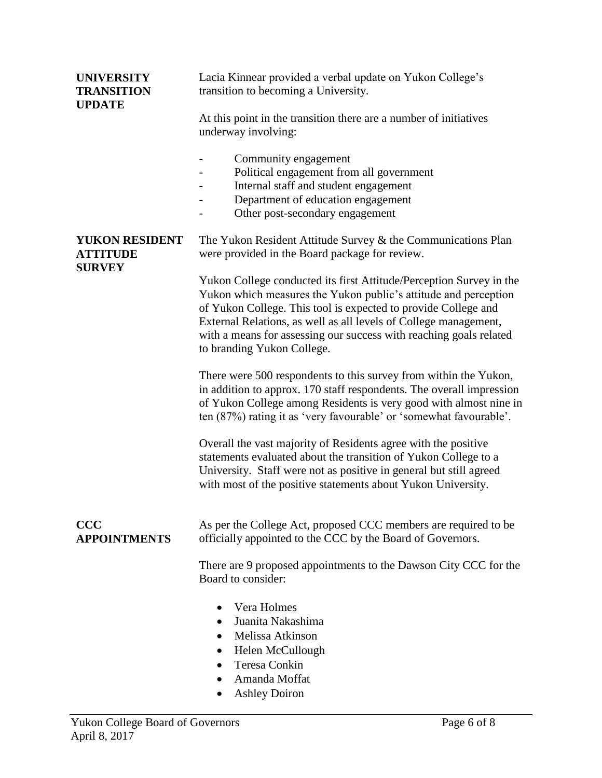| <b>UNIVERSITY</b><br><b>TRANSITION</b><br><b>UPDATE</b>   | Lacia Kinnear provided a verbal update on Yukon College's<br>transition to becoming a University.                                                                                                                                                                                                                                                                                |
|-----------------------------------------------------------|----------------------------------------------------------------------------------------------------------------------------------------------------------------------------------------------------------------------------------------------------------------------------------------------------------------------------------------------------------------------------------|
|                                                           | At this point in the transition there are a number of initiatives<br>underway involving:                                                                                                                                                                                                                                                                                         |
|                                                           | Community engagement<br>Political engagement from all government<br>Internal staff and student engagement<br>Department of education engagement<br>Other post-secondary engagement                                                                                                                                                                                               |
| <b>YUKON RESIDENT</b><br><b>ATTITUDE</b><br><b>SURVEY</b> | The Yukon Resident Attitude Survey & the Communications Plan<br>were provided in the Board package for review.                                                                                                                                                                                                                                                                   |
|                                                           | Yukon College conducted its first Attitude/Perception Survey in the<br>Yukon which measures the Yukon public's attitude and perception<br>of Yukon College. This tool is expected to provide College and<br>External Relations, as well as all levels of College management,<br>with a means for assessing our success with reaching goals related<br>to branding Yukon College. |
|                                                           | There were 500 respondents to this survey from within the Yukon,<br>in addition to approx. 170 staff respondents. The overall impression<br>of Yukon College among Residents is very good with almost nine in<br>ten (87%) rating it as 'very favourable' or 'somewhat favourable'.                                                                                              |
|                                                           | Overall the vast majority of Residents agree with the positive<br>statements evaluated about the transition of Yukon College to a<br>University. Staff were not as positive in general but still agreed<br>with most of the positive statements about Yukon University.                                                                                                          |
| <b>CCC</b><br><b>APPOINTMENTS</b>                         | As per the College Act, proposed CCC members are required to be<br>officially appointed to the CCC by the Board of Governors.                                                                                                                                                                                                                                                    |
|                                                           | There are 9 proposed appointments to the Dawson City CCC for the<br>Board to consider:                                                                                                                                                                                                                                                                                           |
|                                                           | Vera Holmes<br>Juanita Nakashima<br>Melissa Atkinson<br>Helen McCullough<br>Teresa Conkin<br>Amanda Moffat<br><b>Ashley Doiron</b>                                                                                                                                                                                                                                               |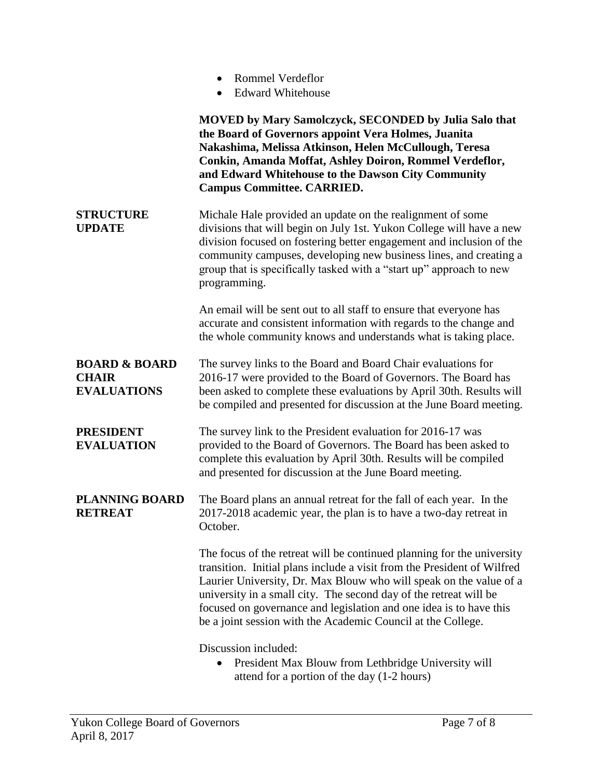|                                                                | <b>Rommel Verdeflor</b><br><b>Edward Whitehouse</b>                                                                                                                                                                                                                                                                                                                                                                                |
|----------------------------------------------------------------|------------------------------------------------------------------------------------------------------------------------------------------------------------------------------------------------------------------------------------------------------------------------------------------------------------------------------------------------------------------------------------------------------------------------------------|
|                                                                | <b>MOVED by Mary Samolczyck, SECONDED by Julia Salo that</b><br>the Board of Governors appoint Vera Holmes, Juanita<br>Nakashima, Melissa Atkinson, Helen McCullough, Teresa<br>Conkin, Amanda Moffat, Ashley Doiron, Rommel Verdeflor,<br>and Edward Whitehouse to the Dawson City Community<br><b>Campus Committee. CARRIED.</b>                                                                                                 |
| <b>STRUCTURE</b><br><b>UPDATE</b>                              | Michale Hale provided an update on the realignment of some<br>divisions that will begin on July 1st. Yukon College will have a new<br>division focused on fostering better engagement and inclusion of the<br>community campuses, developing new business lines, and creating a<br>group that is specifically tasked with a "start up" approach to new<br>programming.                                                             |
|                                                                | An email will be sent out to all staff to ensure that everyone has<br>accurate and consistent information with regards to the change and<br>the whole community knows and understands what is taking place.                                                                                                                                                                                                                        |
| <b>BOARD &amp; BOARD</b><br><b>CHAIR</b><br><b>EVALUATIONS</b> | The survey links to the Board and Board Chair evaluations for<br>2016-17 were provided to the Board of Governors. The Board has<br>been asked to complete these evaluations by April 30th. Results will<br>be compiled and presented for discussion at the June Board meeting.                                                                                                                                                     |
| <b>PRESIDENT</b><br><b>EVALUATION</b>                          | The survey link to the President evaluation for 2016-17 was<br>provided to the Board of Governors. The Board has been asked to<br>complete this evaluation by April 30th. Results will be compiled<br>and presented for discussion at the June Board meeting.                                                                                                                                                                      |
| <b>PLANNING BOARD</b><br><b>RETREAT</b>                        | The Board plans an annual retreat for the fall of each year. In the<br>2017-2018 academic year, the plan is to have a two-day retreat in<br>October.                                                                                                                                                                                                                                                                               |
|                                                                | The focus of the retreat will be continued planning for the university<br>transition. Initial plans include a visit from the President of Wilfred<br>Laurier University, Dr. Max Blouw who will speak on the value of a<br>university in a small city. The second day of the retreat will be<br>focused on governance and legislation and one idea is to have this<br>be a joint session with the Academic Council at the College. |
|                                                                | Discussion included:<br>President Max Blouw from Lethbridge University will                                                                                                                                                                                                                                                                                                                                                        |

attend for a portion of the day (1-2 hours)